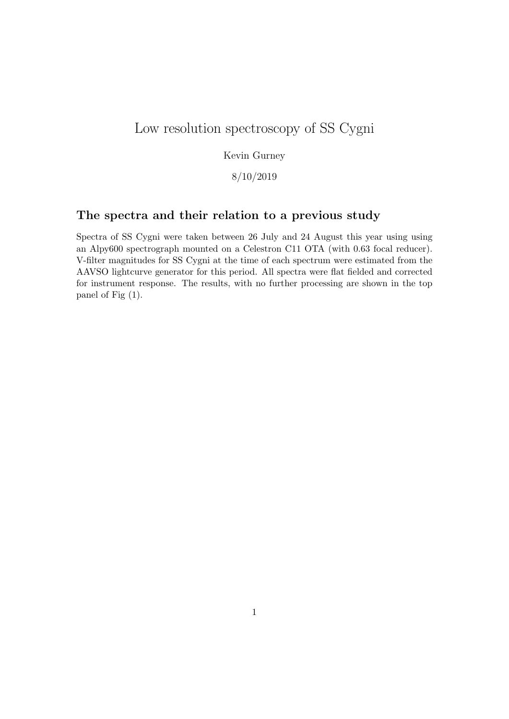# Low resolution spectroscopy of SS Cygni

## Kevin Gurney

## 8/10/2019

## The spectra and their relation to a previous study

Spectra of SS Cygni were taken between 26 July and 24 August this year using using an Alpy600 spectrograph mounted on a Celestron C11 OTA (with 0.63 focal reducer). V-filter magnitudes for SS Cygni at the time of each spectrum were estimated from the AAVSO lightcurve generator for this period. All spectra were flat fielded and corrected for instrument response. The results, with no further processing are shown in the top panel of Fig (1).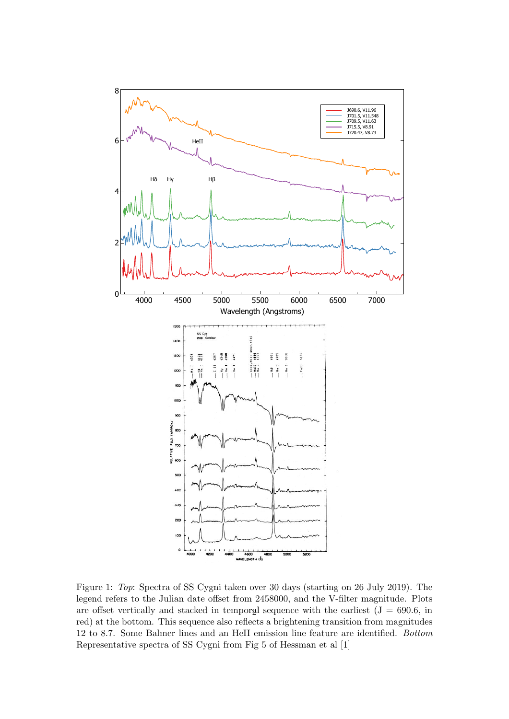

Figure 1: Top: Spectra of SS Cygni taken over 30 days (starting on 26 July 2019). The legend refers to the Julian date offset from 2458000, and the V-filter magnitude. Plots are offset vertically and stacked in temporal sequence with the earliest  $(J = 690.6, in)$ red) at the bottom. This sequence also reflects a brightening transition from magnitudes 12 to 8.7. Some Balmer lines and an HeII emission line feature are identified. Bottom Representative spectra of SS Cygni from Fig 5 of Hessman et al [1]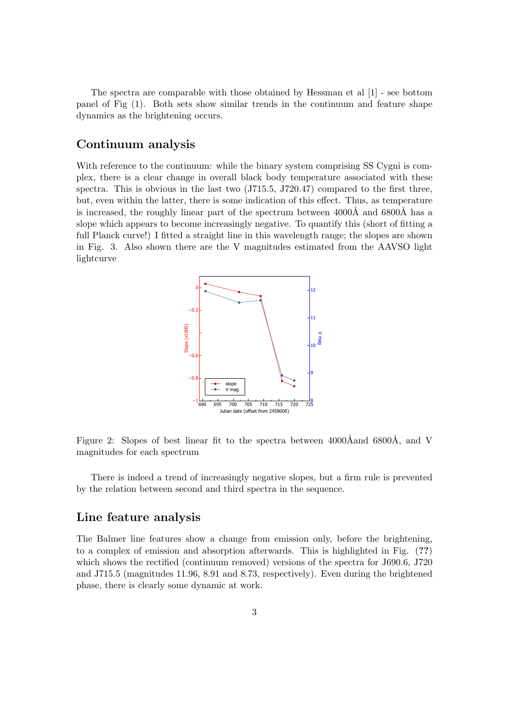The spectra are comparable with those obtained by Hessman et al [1] - see bottom panel of Fig (1). Both sets show similar trends in the continuum and feature shape dynamics as the brightening occurs.

#### Continuum analysis

With reference to the continuum: while the binary system comprising SS Cygni is complex, there is a clear change in overall black body temperature associated with these spectra. This is obvious in the last two (J715.5, J720.47) compared to the first three, but, even within the latter, there is some indication of this effect. Thus, as temperature is increased, the roughly linear part of the spectrum between  $4000\text{\AA}$  and  $6800\text{\AA}$  has a slope which appears to become increasingly negative. To quantify this (short of fitting a full Planck curve!) I fitted a straight line in this wavelength range; the slopes are shown in Fig. 3. Also shown there are the V magnitudes estimated from the AAVSO light lightcurve



Figure 2: Slopes of best linear fit to the spectra between  $4000\text{\AA}$  and  $800\text{\AA}$ , and V magnitudes for each spectrum

There is indeed a trend of increasingly negative slopes, but a firm rule is prevented by the relation between second and third spectra in the sequence.

#### Line feature analysis

The Balmer line features show a change from emission only, before the brightening, to a complex of emission and absorption afterwards. This is highlighted in Fig. (??) which shows the rectified (continuum removed) versions of the spectra for J690.6, J720 and J715.5 (magnitudes 11.96, 8.91 and 8.73, respectively). Even during the brightened phase, there is clearly some dynamic at work.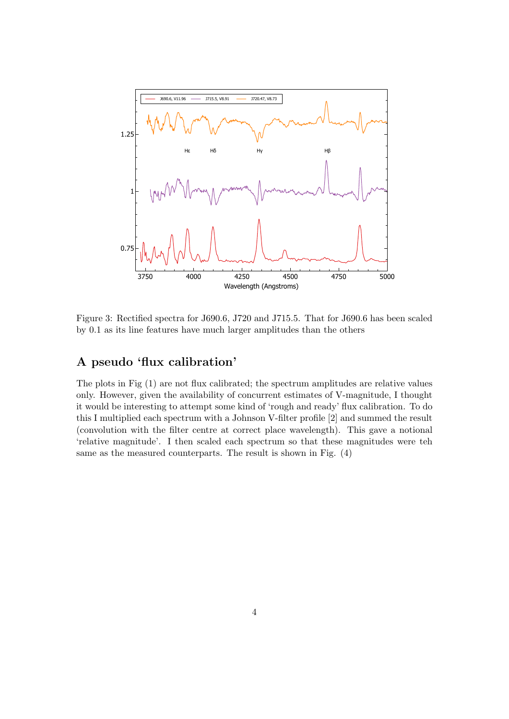

Figure 3: Rectified spectra for J690.6, J720 and J715.5. That for J690.6 has been scaled by 0.1 as its line features have much larger amplitudes than the others

# A pseudo 'flux calibration'

The plots in Fig (1) are not flux calibrated; the spectrum amplitudes are relative values only. However, given the availability of concurrent estimates of V-magnitude, I thought it would be interesting to attempt some kind of 'rough and ready' flux calibration. To do this I multiplied each spectrum with a Johnson V-filter profile [2] and summed the result (convolution with the filter centre at correct place wavelength). This gave a notional 'relative magnitude'. I then scaled each spectrum so that these magnitudes were teh same as the measured counterparts. The result is shown in Fig. (4)